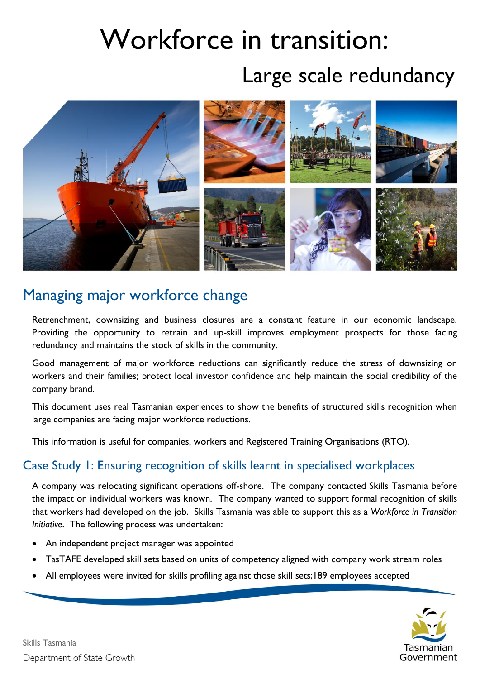# Workforce in transition:

# Large scale redundancy



## Managing major workforce change

Retrenchment, downsizing and business closures are a constant feature in our economic landscape. Providing the opportunity to retrain and up-skill improves employment prospects for those facing redundancy and maintains the stock of skills in the community.

Good management of major workforce reductions can significantly reduce the stress of downsizing on workers and their families; protect local investor confidence and help maintain the social credibility of the company brand.

This document uses real Tasmanian experiences to show the benefits of structured skills recognition when large companies are facing major workforce reductions.

This information is useful for companies, workers and Registered Training Organisations (RTO).

### Case Study 1: Ensuring recognition of skills learnt in specialised workplaces

A company was relocating significant operations off-shore. The company contacted Skills Tasmania before the impact on individual workers was known. The company wanted to support formal recognition of skills that workers had developed on the job. Skills Tasmania was able to support this as a *Workforce in Transition Initiative*. The following process was undertaken:

- An independent project manager was appointed
- TasTAFE developed skill sets based on units of competency aligned with company work stream roles
- All employees were invited for skills profiling against those skill sets;189 employees accepted